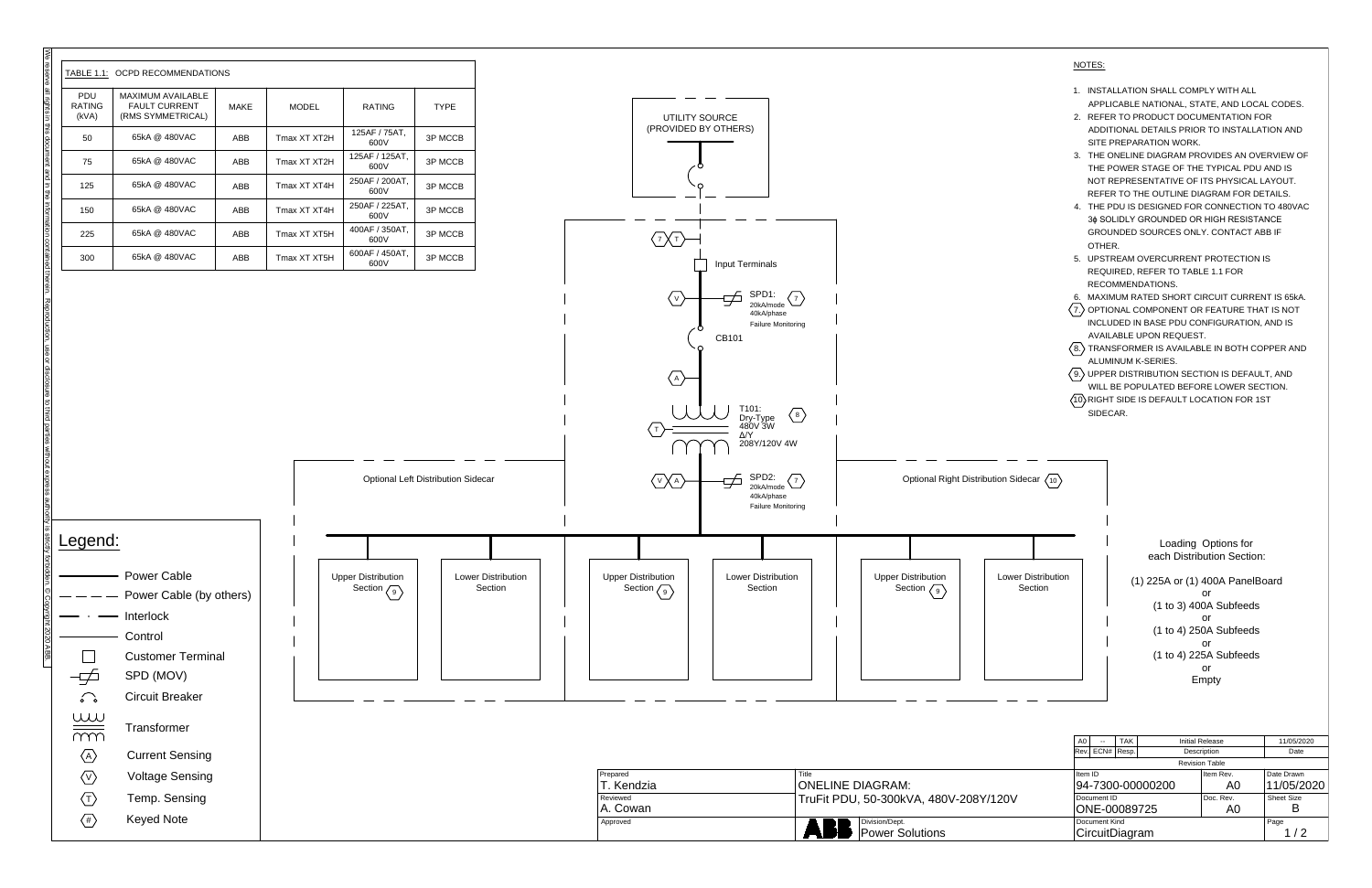

|    | NOTES:                                                                                   |
|----|------------------------------------------------------------------------------------------|
| 1. | INSTALLATION SHALL COMPLY WITH ALL<br>APPLICABLE NATIONAL, STATE, AND LOCAL CODES.       |
| 2. | REFER TO PRODUCT DOCUMENTATION FOR                                                       |
|    | ADDITIONAL DETAILS PRIOR TO INSTALLATION AND<br>SITE PREPARATION WORK.                   |
| 3. | THE ONELINE DIAGRAM PROVIDES AN OVERVIEW OF<br>THE POWER STAGE OF THE TYPICAL PDU AND IS |
|    | NOT REPRESENTATIVE OF ITS PHYSICAL LAYOUT.                                               |
|    | REFER TO THE OUTLINE DIAGRAM FOR DETAILS.                                                |
| 4  | THE PDU IS DESIGNED FOR CONNECTION TO 480VAC                                             |
|    | 3¢ SOLIDLY GROUNDED OR HIGH RESISTANCE                                                   |
|    | <b>GROUNDED SOURCES ONLY, CONTACT ABB IF</b><br>OTHER.                                   |
| 5. | UPSTREAM OVERCURRENT PROTECTION IS                                                       |
|    | REQUIRED, REFER TO TABLE 1.1 FOR                                                         |
|    | RECOMMENDATIONS.                                                                         |
| 6. | MAXIMUM RATED SHORT CIRCUIT CURRENT IS 65KA.                                             |
|    | 7.) OPTIONAL COMPONENT OR FEATURE THAT IS NOT                                            |
|    | INCLUDED IN BASE PDU CONFIGURATION. AND IS                                               |
|    | <b>AVAILABLE UPON REQUEST.</b>                                                           |
|    | 8.) TRANSFORMER IS AVAILABLE IN BOTH COPPER AND<br>ALUMINUM K-SERIES.                    |
|    | 9.) UPPER DISTRIBUTION SECTION IS DEFAULT, AND                                           |
|    | WILL BE POPULATED BEFORE LOWER SECTION.                                                  |
|    | (10) RIGHT SIDE IS DEFAULT LOCATION FOR 1ST<br>SIDECAR.                                  |
|    |                                                                                          |
|    |                                                                                          |
|    |                                                                                          |
|    |                                                                                          |

|   | <b>TAK</b><br>A <sub>0</sub><br><b>Initial Release</b>     |                |       | 11/05/2020  |           |            |  |  |
|---|------------------------------------------------------------|----------------|-------|-------------|-----------|------------|--|--|
|   | lRev.                                                      | ECN#           | Resp. | Description |           | Date       |  |  |
|   | <b>Revision Table</b>                                      |                |       |             |           |            |  |  |
|   | Item ID<br>94-7300-00000200<br>Document ID<br>ONE-00089725 |                |       |             | Item Rev. | Date Drawn |  |  |
|   |                                                            |                |       |             | A0        | 11/05/2020 |  |  |
| V |                                                            |                |       |             | Doc. Rev. | Sheet Size |  |  |
|   |                                                            |                |       |             | A0        |            |  |  |
|   |                                                            | Document Kind  |       |             |           | Page       |  |  |
|   |                                                            | CircuitDiagram |       |             |           | 1/2        |  |  |
|   |                                                            |                |       |             |           |            |  |  |